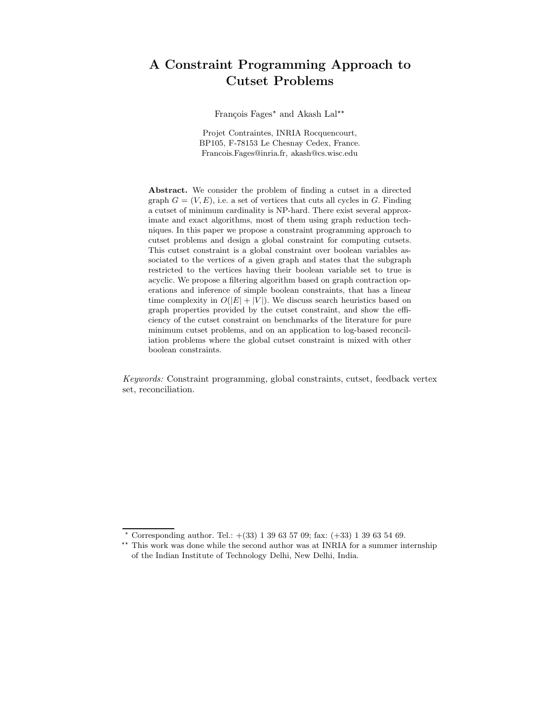# **A Constraint Programming Approach to Cutset Problems**

François Fages\* and Akash Lal\*\*

Projet Contraintes, INRIA Rocquencourt, BP105, F-78153 Le Chesnay Cedex, France. Francois.Fages@inria.fr, akash@cs.wisc.edu

**Abstract.** We consider the problem of finding a cutset in a directed graph  $G = (V, E)$ , i.e. a set of vertices that cuts all cycles in  $G$ . Finding a cutset of minimum cardinality is NP-hard. There exist several approximate and exact algorithms, most of them using graph reduction techniques. In this paper we propose a constraint programming approach to cutset problems and design a global constraint for computing cutsets. This cutset constraint is a global constraint over boolean variables associated to the vertices of a given graph and states that the subgraph restricted to the vertices having their boolean variable set to true is acyclic. We propose a filtering algorithm based on graph contraction operations and inference of simple boolean constraints, that has a linear time complexity in  $O(|E| + |V|)$ . We discuss search heuristics based on graph properties provided by the cutset constraint, and show the efficiency of the cutset constraint on benchmarks of the literature for pure minimum cutset problems, and on an application to log-based reconciliation problems where the global cutset constraint is mixed with other boolean constraints.

*Keywords:* Constraint programming, global constraints, cutset, feedback vertex set, reconciliation.

<sup>\*</sup> Corresponding author. Tel.:  $+(33)$  1 39 63 57 09; fax:  $(+33)$  1 39 63 54 69.

<sup>\*\*</sup> This work was done while the second author was at INRIA for a summer internship of the Indian Institute of Technology Delhi, New Delhi, India.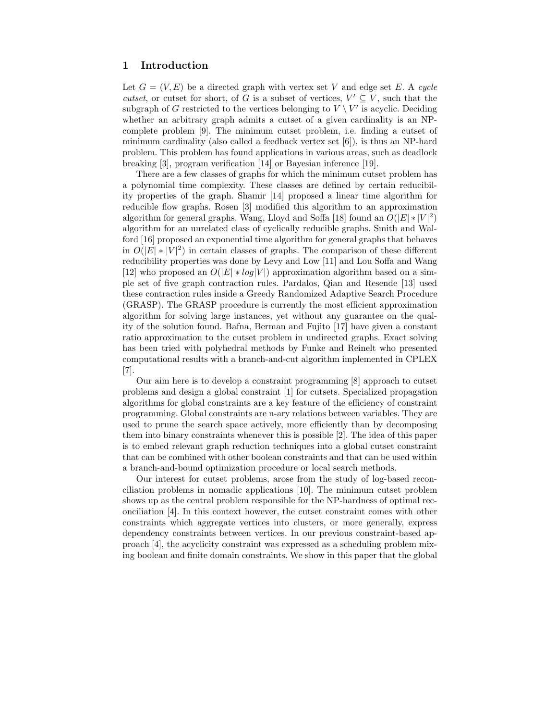# **1 Introduction**

Let  $G = (V, E)$  be a directed graph with vertex set V and edge set E. A cycle *cutset*, or cutset for short, of *G* is a subset of vertices,  $V' \subseteq V$ , such that the subgraph of *G* restricted to the vertices belonging to  $V \setminus V'$  is acyclic. Deciding whether an arbitrary graph admits a cutset of a given cardinality is an NPcomplete problem [9]. The minimum cutset problem, i.e. finding a cutset of minimum cardinality (also called a feedback vertex set [6]), is thus an NP-hard problem. This problem has found applications in various areas, such as deadlock breaking [3], program verification [14] or Bayesian inference [19].

There are a few classes of graphs for which the minimum cutset problem has a polynomial time complexity. These classes are defined by certain reducibility properties of the graph. Shamir [14] proposed a linear time algorithm for reducible flow graphs. Rosen [3] modified this algorithm to an approximation algorithm for general graphs. Wang, Lloyd and Soffa [18] found an  $O(|E| * |V|^2)$ algorithm for an unrelated class of cyclically reducible graphs. Smith and Walford [16] proposed an exponential time algorithm for general graphs that behaves in  $O(|E| * |V|^2)$  in certain classes of graphs. The comparison of these different reducibility properties was done by Levy and Low [11] and Lou Soffa and Wang [12] who proposed an  $O(|E| * log|V|)$  approximation algorithm based on a simple set of five graph contraction rules. Pardalos, Qian and Resende [13] used these contraction rules inside a Greedy Randomized Adaptive Search Procedure (GRASP). The GRASP procedure is currently the most efficient approximation algorithm for solving large instances, yet without any guarantee on the quality of the solution found. Bafna, Berman and Fujito [17] have given a constant ratio approximation to the cutset problem in undirected graphs. Exact solving has been tried with polyhedral methods by Funke and Reinelt who presented computational results with a branch-and-cut algorithm implemented in CPLEX [7].

Our aim here is to develop a constraint programming [8] approach to cutset problems and design a global constraint [1] for cutsets. Specialized propagation algorithms for global constraints are a key feature of the efficiency of constraint programming. Global constraints are n-ary relations between variables. They are used to prune the search space actively, more efficiently than by decomposing them into binary constraints whenever this is possible [2]. The idea of this paper is to embed relevant graph reduction techniques into a global cutset constraint that can be combined with other boolean constraints and that can be used within a branch-and-bound optimization procedure or local search methods.

Our interest for cutset problems, arose from the study of log-based reconciliation problems in nomadic applications [10]. The minimum cutset problem shows up as the central problem responsible for the NP-hardness of optimal reconciliation [4]. In this context however, the cutset constraint comes with other constraints which aggregate vertices into clusters, or more generally, express dependency constraints between vertices. In our previous constraint-based approach [4], the acyclicity constraint was expressed as a scheduling problem mixing boolean and finite domain constraints. We show in this paper that the global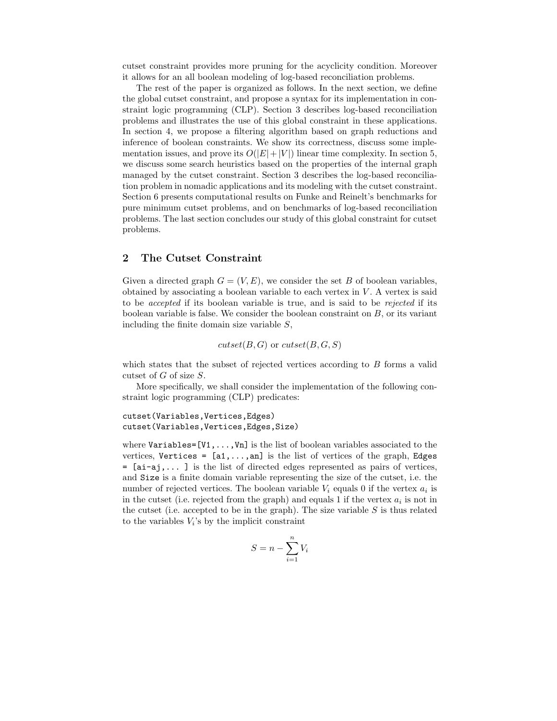cutset constraint provides more pruning for the acyclicity condition. Moreover it allows for an all boolean modeling of log-based reconciliation problems.

The rest of the paper is organized as follows. In the next section, we define the global cutset constraint, and propose a syntax for its implementation in constraint logic programming (CLP). Section 3 describes log-based reconciliation problems and illustrates the use of this global constraint in these applications. In section 4, we propose a filtering algorithm based on graph reductions and inference of boolean constraints. We show its correctness, discuss some implementation issues, and prove its  $O(|E|+|V|)$  linear time complexity. In section 5, we discuss some search heuristics based on the properties of the internal graph managed by the cutset constraint. Section 3 describes the log-based reconciliation problem in nomadic applications and its modeling with the cutset constraint. Section 6 presents computational results on Funke and Reinelt's benchmarks for pure minimum cutset problems, and on benchmarks of log-based reconciliation problems. The last section concludes our study of this global constraint for cutset problems.

## **2 The Cutset Constraint**

Given a directed graph  $G = (V, E)$ , we consider the set *B* of boolean variables, obtained by associating a boolean variable to each vertex in *V* . A vertex is said to be *accepted* if its boolean variable is true, and is said to be *rejected* if its boolean variable is false. We consider the boolean constraint on *B*, or its variant including the finite domain size variable *S*,

$$
cutset(B, G)
$$
 or  $cutset(B, G, S)$ 

which states that the subset of rejected vertices according to *B* forms a valid cutset of *G* of size *S*.

More specifically, we shall consider the implementation of the following constraint logic programming (CLP) predicates:

### cutset(Variables,Vertices,Edges) cutset(Variables,Vertices,Edges,Size)

where  $Variable = [V1, \ldots, Vn]$  is the list of boolean variables associated to the vertices, Vertices =  $[a1, \ldots, an]$  is the list of vertices of the graph, Edges  $=$  [ai-aj,...] is the list of directed edges represented as pairs of vertices, and Size is a finite domain variable representing the size of the cutset, i.e. the number of rejected vertices. The boolean variable  $V_i$  equals 0 if the vertex  $a_i$  is in the cutset (i.e. rejected from the graph) and equals 1 if the vertex  $a_i$  is not in the cutset (i.e. accepted to be in the graph). The size variable *S* is thus related to the variables  $V_i$ 's by the implicit constraint

$$
S = n - \sum_{i=1}^{n} V_i
$$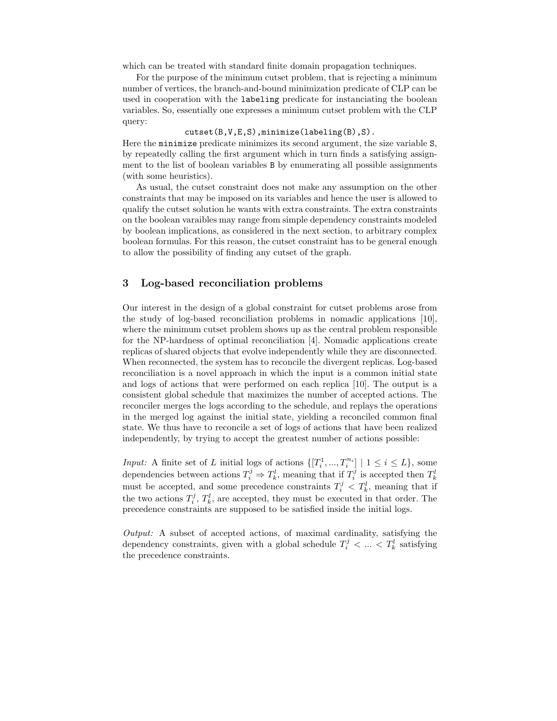which can be treated with standard finite domain propagation techniques.

For the purpose of the minimum cutset problem, that is rejecting a minimum number of vertices, the branch-and-bound minimization predicate of CLP can be used in cooperation with the labeling predicate for instanciating the boolean variables. So, essentially one expresses a minimum cutset problem with the CLP query:

```
cutset(B,V,E,S),minimize(labeling(B),S).
```
Here the minimize predicate minimizes its second argument, the size variable S, by repeatedly calling the first argument which in turn finds a satisfying assignment to the list of boolean variables B by enumerating all possible assignments (with some heuristics).

As usual, the cutset constraint does not make any assumption on the other constraints that may be imposed on its variables and hence the user is allowed to qualify the cutset solution he wants with extra constraints. The extra constraints on the boolean varaibles may range from simple dependency constraints modeled by boolean implications, as considered in the next section, to arbitrary complex boolean formulas. For this reason, the cutset constraint has to be general enough to allow the possibility of finding any cutset of the graph.

## **3 Log-based reconciliation problems**

Our interest in the design of a global constraint for cutset problems arose from the study of log-based reconciliation problems in nomadic applications [10], where the minimum cutset problem shows up as the central problem responsible for the NP-hardness of optimal reconciliation [4]. Nomadic applications create replicas of shared objects that evolve independently while they are disconnected. When reconnected, the system has to reconcile the divergent replicas. Log-based reconciliation is a novel approach in which the input is a common initial state and logs of actions that were performed on each replica [10]. The output is a consistent global schedule that maximizes the number of accepted actions. The reconciler merges the logs according to the schedule, and replays the operations in the merged log against the initial state, yielding a reconciled common final state. We thus have to reconcile a set of logs of actions that have been realized independently, by trying to accept the greatest number of actions possible:

*Input:* A finite set of *L* initial logs of actions  $\{[T_i^1, ..., T_i^{n_i}]\mid 1 \leq i \leq L\}$ , some dependencies between actions  $T_i^j \Rightarrow T_k^l$ , meaning that if  $T_i^j$  is accepted then  $T_k^l$ must be accepted, and some precedence constraints  $T_i^j < T_k^l$ , meaning that if the two actions  $T_i^j$ ,  $T_k^l$ , are accepted, they must be executed in that order. The precedence constraints are supposed to be satisfied inside the initial logs.

*Output:* A subset of accepted actions, of maximal cardinality, satisfying the dependency constraints, given with a global schedule  $T_i^j < \dots < T_k^l$  satisfying the precedence constraints.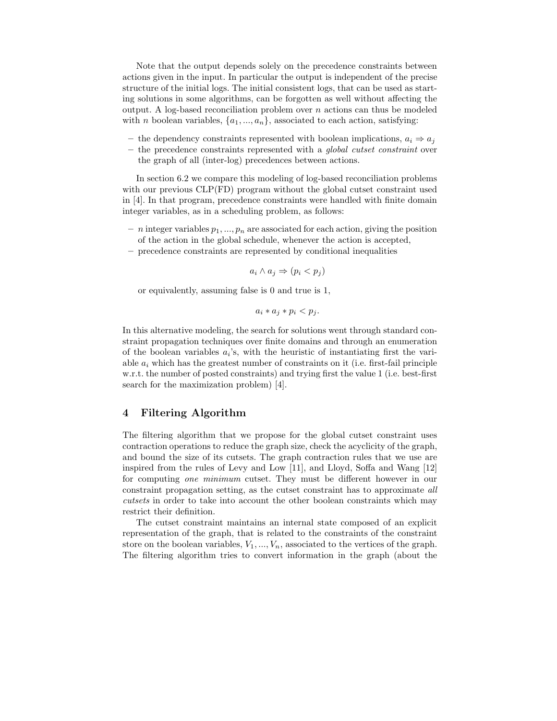Note that the output depends solely on the precedence constraints between actions given in the input. In particular the output is independent of the precise structure of the initial logs. The initial consistent logs, that can be used as starting solutions in some algorithms, can be forgotten as well without affecting the output. A log-based reconciliation problem over *n* actions can thus be modeled with *n* boolean variables,  $\{a_1, ..., a_n\}$ , associated to each action, satisfying:

- **–** the dependency constraints represented with boolean implications, *a*<sup>i</sup> ⇒ *a*<sup>j</sup>
- **–** the precedence constraints represented with a *global cutset constraint* over the graph of all (inter-log) precedences between actions.

In section 6.2 we compare this modeling of log-based reconciliation problems with our previous CLP(FD) program without the global cutset constraint used in [4]. In that program, precedence constraints were handled with finite domain integer variables, as in a scheduling problem, as follows:

- $-$  *n* integer variables  $p_1, ..., p_n$  are associated for each action, giving the position of the action in the global schedule, whenever the action is accepted,
- **–** precedence constraints are represented by conditional inequalities

$$
a_i \wedge a_j \Rightarrow (p_i < p_j)
$$

or equivalently, assuming false is 0 and true is 1,

$$
a_i\ast a_j\ast p_i
$$

In this alternative modeling, the search for solutions went through standard constraint propagation techniques over finite domains and through an enumeration of the boolean variables  $a_i$ 's, with the heuristic of instantiating first the variable  $a_i$  which has the greatest number of constraints on it (i.e. first-fail principle w.r.t. the number of posted constraints) and trying first the value 1 (i.e. best-first search for the maximization problem) [4].

# **4 Filtering Algorithm**

The filtering algorithm that we propose for the global cutset constraint uses contraction operations to reduce the graph size, check the acyclicity of the graph, and bound the size of its cutsets. The graph contraction rules that we use are inspired from the rules of Levy and Low [11], and Lloyd, Soffa and Wang [12] for computing *one minimum* cutset. They must be different however in our constraint propagation setting, as the cutset constraint has to approximate *all cutsets* in order to take into account the other boolean constraints which may restrict their definition.

The cutset constraint maintains an internal state composed of an explicit representation of the graph, that is related to the constraints of the constraint store on the boolean variables,  $V_1, ..., V_n$ , associated to the vertices of the graph. The filtering algorithm tries to convert information in the graph (about the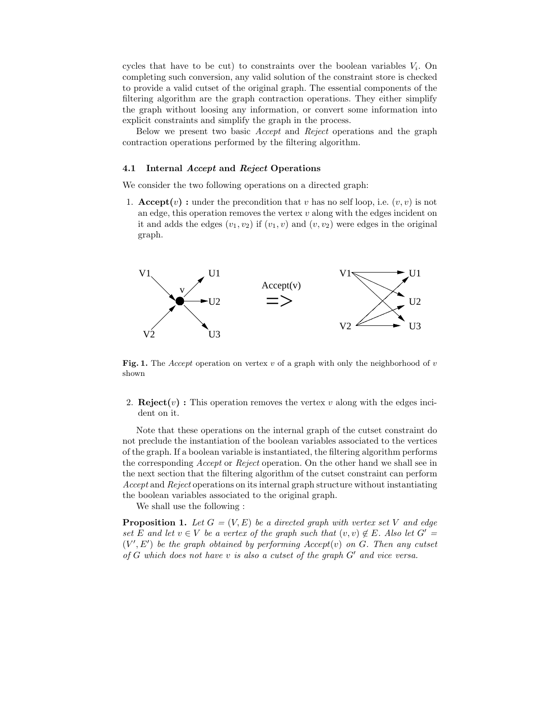cycles that have to be cut) to constraints over the boolean variables  $V_i$ . On completing such conversion, any valid solution of the constraint store is checked to provide a valid cutset of the original graph. The essential components of the filtering algorithm are the graph contraction operations. They either simplify the graph without loosing any information, or convert some information into explicit constraints and simplify the graph in the process.

Below we present two basic *Accept* and *Reject* operations and the graph contraction operations performed by the filtering algorithm.

#### **4.1 Internal** *Accept* **and** *Reject* **Operations**

We consider the two following operations on a directed graph:

1. **Accept** $(v)$ : under the precondition that *v* has no self loop, i.e.  $(v, v)$  is not an edge, this operation removes the vertex *v* along with the edges incident on it and adds the edges  $(v_1, v_2)$  if  $(v_1, v)$  and  $(v, v_2)$  were edges in the original graph.



**Fig. 1.** The *Accept* operation on vertex *<sup>v</sup>* of a graph with only the neighborhood of *<sup>v</sup>* shown

2. **Reject** $(v)$ : This operation removes the vertex  $v$  along with the edges incident on it.

Note that these operations on the internal graph of the cutset constraint do not preclude the instantiation of the boolean variables associated to the vertices of the graph. If a boolean variable is instantiated, the filtering algorithm performs the corresponding *Accept* or *Reject* operation. On the other hand we shall see in the next section that the filtering algorithm of the cutset constraint can perform *Accept* and *Reject* operations on its internal graph structure without instantiating the boolean variables associated to the original graph.

We shall use the following :

**Proposition 1.** Let  $G = (V, E)$  be a directed graph with vertex set V and edge *set E* and let  $v \in V$  *be a vertex of the graph such that*  $(v, v) \notin E$ *. Also let*  $G' =$  $(V', E')$  be the graph obtained by performing  $Accept(v)$  on  $G$ . Then any cutset *of G which does not have v is also a cutset of the graph G and vice versa.*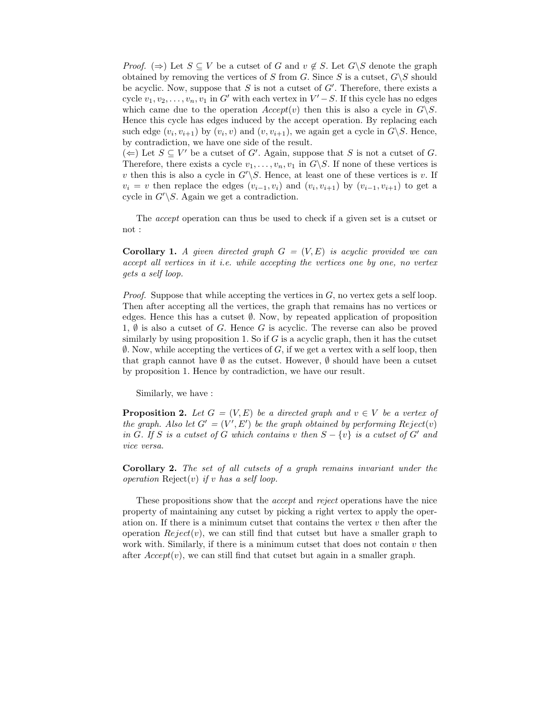*Proof.* ( $\Rightarrow$ ) Let *S* ⊂ *V* be a cutset of *G* and *v* ∉ *S*. Let *G*\*S* denote the graph obtained by removing the vertices of *S* from *G*. Since *S* is a cutset,  $G\backslash S$  should be acyclic. Now, suppose that *S* is not a cutset of *G* . Therefore, there exists a cycle  $v_1, v_2, \ldots, v_n, v_1$  in *G'* with each vertex in  $V' - S$ . If this cycle has no edges which came due to the operation  $Accept(v)$  then this is also a cycle in  $G\backslash S$ . Hence this cycle has edges induced by the accept operation. By replacing each such edge  $(v_i, v_{i+1})$  by  $(v_i, v)$  and  $(v, v_{i+1})$ , we again get a cycle in  $G\backslash S$ . Hence, by contradiction, we have one side of the result.

(⇐) Let  $S \subseteq V'$  be a cutset of *G'*. Again, suppose that *S* is not a cutset of *G*. Therefore, there exists a cycle  $v_1, \ldots, v_n, v_1$  in  $G \backslash S$ . If none of these vertices is *v* then this is also a cycle in  $G' \ S$ . Hence, at least one of these vertices is *v*. If  $v_i = v$  then replace the edges  $(v_{i-1}, v_i)$  and  $(v_i, v_{i+1})$  by  $(v_{i-1}, v_{i+1})$  to get a cycle in  $G' \ S$ . Again we get a contradiction.

The *accept* operation can thus be used to check if a given set is a cutset or not :

**Corollary 1.** *A given directed graph G =* (*V,E*) *is acyclic provided we can accept all vertices in it i.e. while accepting the vertices one by one, no vertex gets a self loop.*

*Proof.* Suppose that while accepting the vertices in *G*, no vertex gets a self loop. Then after accepting all the vertices, the graph that remains has no vertices or edges. Hence this has a cutset  $\emptyset$ . Now, by repeated application of proposition 1, ∅ is also a cutset of *G*. Hence *G* is acyclic. The reverse can also be proved similarly by using proposition 1. So if *G* is a acyclic graph, then it has the cutset  $\emptyset$ . Now, while accepting the vertices of *G*, if we get a vertex with a self loop, then that graph cannot have  $\emptyset$  as the cutset. However,  $\emptyset$  should have been a cutset by proposition 1. Hence by contradiction, we have our result.

Similarly, we have :

**Proposition 2.** Let  $G = (V, E)$  be a directed graph and  $v \in V$  be a vertex of *the graph. Also let*  $G' = (V', E')$  *be the graph obtained by performing Reject* $(v)$ *in G. If S is a cutset of G which contains v then*  $S - \{v\}$  *is a cutset of*  $G'$  *and vice versa.*

**Corollary 2.** *The set of all cutsets of a graph remains invariant under the operation*  $Reject(v)$  *if v has a self loop.* 

These propositions show that the *accept* and *reject* operations have the nice property of maintaining any cutset by picking a right vertex to apply the operation on. If there is a minimum cutset that contains the vertex *v* then after the operation  $Reject(v)$ , we can still find that cutset but have a smaller graph to work with. Similarly, if there is a minimum cutset that does not contain  $v$  then after  $Accept(v)$ , we can still find that cutset but again in a smaller graph.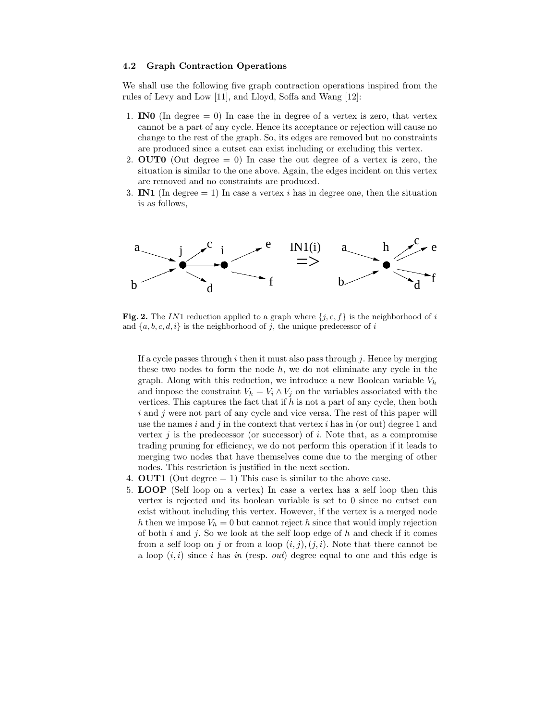#### **4.2 Graph Contraction Operations**

We shall use the following five graph contraction operations inspired from the rules of Levy and Low [11], and Lloyd, Soffa and Wang [12]:

- 1. **INO** (In degree  $= 0$ ) In case the in degree of a vertex is zero, that vertex cannot be a part of any cycle. Hence its acceptance or rejection will cause no change to the rest of the graph. So, its edges are removed but no constraints are produced since a cutset can exist including or excluding this vertex.
- 2. **OUT0** (Out degree  $= 0$ ) In case the out degree of a vertex is zero, the situation is similar to the one above. Again, the edges incident on this vertex are removed and no constraints are produced.
- 3. **IN1** (In degree  $= 1$ ) In case a vertex *i* has in degree one, then the situation is as follows,



**Fig. 2.** The *IN*1 reduction applied to a graph where  $\{j, e, f\}$  is the neighborhood of *i* and  $\{a, b, c, d, i\}$  is the neighborhood of *j*, the unique predecessor of *i* 

If a cycle passes through *i* then it must also pass through *j*. Hence by merging these two nodes to form the node *h*, we do not eliminate any cycle in the graph. Along with this reduction, we introduce a new Boolean variable *V*<sup>h</sup> and impose the constraint  $V_h = V_i \wedge V_j$  on the variables associated with the vertices. This captures the fact that if *h* is not a part of any cycle, then both *i* and *j* were not part of any cycle and vice versa. The rest of this paper will use the names *i* and *j* in the context that vertex *i* has in (or out) degree 1 and vertex  $j$  is the predecessor (or successor) of  $i$ . Note that, as a compromise trading pruning for efficiency, we do not perform this operation if it leads to merging two nodes that have themselves come due to the merging of other nodes. This restriction is justified in the next section.

- 4. **OUT1** (Out degree  $= 1$ ) This case is similar to the above case.
- 5. **LOOP** (Self loop on a vertex) In case a vertex has a self loop then this vertex is rejected and its boolean variable is set to 0 since no cutset can exist without including this vertex. However, if the vertex is a merged node *h* then we impose  $V_h = 0$  but cannot reject *h* since that would imply rejection of both *i* and *j*. So we look at the self loop edge of *h* and check if it comes from a self loop on *j* or from a loop  $(i, j)$ ,  $(j, i)$ . Note that there cannot be a loop (*i, i*) since *i* has *in* (resp. *out*) degree equal to one and this edge is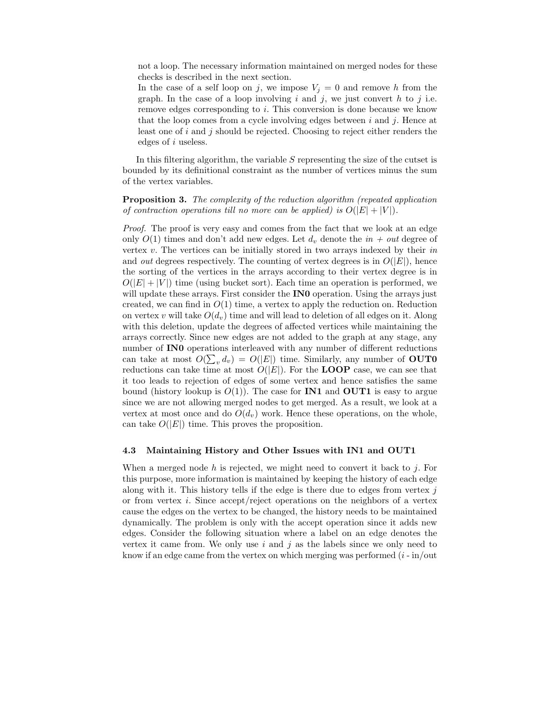not a loop. The necessary information maintained on merged nodes for these checks is described in the next section.

In the case of a self loop on *j*, we impose  $V_j = 0$  and remove *h* from the graph. In the case of a loop involving  $i$  and  $j$ , we just convert  $h$  to  $j$  i.e. remove edges corresponding to *i*. This conversion is done because we know that the loop comes from a cycle involving edges between *i* and *j*. Hence at least one of *i* and *j* should be rejected. Choosing to reject either renders the edges of *i* useless.

In this filtering algorithm, the variable *S* representing the size of the cutset is bounded by its definitional constraint as the number of vertices minus the sum of the vertex variables.

**Proposition 3.** *The complexity of the reduction algorithm (repeated application of contraction operations till no more can be applied) is*  $O(|E| + |V|)$ *.* 

*Proof.* The proof is very easy and comes from the fact that we look at an edge only  $O(1)$  times and don't add new edges. Let  $d<sub>v</sub>$  denote the *in + out* degree of vertex *v*. The vertices can be initially stored in two arrays indexed by their *in* and *out* degrees respectively. The counting of vertex degrees is in  $O(|E|)$ , hence the sorting of the vertices in the arrays according to their vertex degree is in  $O(|E| + |V|)$  time (using bucket sort). Each time an operation is performed, we will update these arrays. First consider the **INO** operation. Using the arrays just created, we can find in  $O(1)$  time, a vertex to apply the reduction on. Reduction on vertex *v* will take  $O(d_v)$  time and will lead to deletion of all edges on it. Along with this deletion, update the degrees of affected vertices while maintaining the arrays correctly. Since new edges are not added to the graph at any stage, any number of **IN0** operations interleaved with any number of different reductions can take at most  $O(\sum_v d_v) = O(|E|)$  time. Similarly, any number of **OUT0** reductions can take time at most  $O(|E|)$ . For the **LOOP** case, we can see that it too leads to rejection of edges of some vertex and hence satisfies the same bound (history lookup is  $O(1)$ ). The case for **IN1** and **OUT1** is easy to argue since we are not allowing merged nodes to get merged. As a result, we look at a vertex at most once and do  $O(d_v)$  work. Hence these operations, on the whole, can take  $O(|E|)$  time. This proves the proposition.

#### **4.3 Maintaining History and Other Issues with IN1 and OUT1**

When a merged node *h* is rejected, we might need to convert it back to *j*. For this purpose, more information is maintained by keeping the history of each edge along with it. This history tells if the edge is there due to edges from vertex *j* or from vertex *i*. Since accept/reject operations on the neighbors of a vertex cause the edges on the vertex to be changed, the history needs to be maintained dynamically. The problem is only with the accept operation since it adds new edges. Consider the following situation where a label on an edge denotes the vertex it came from. We only use  $i$  and  $j$  as the labels since we only need to know if an edge came from the vertex on which merging was performed (*i* - in/out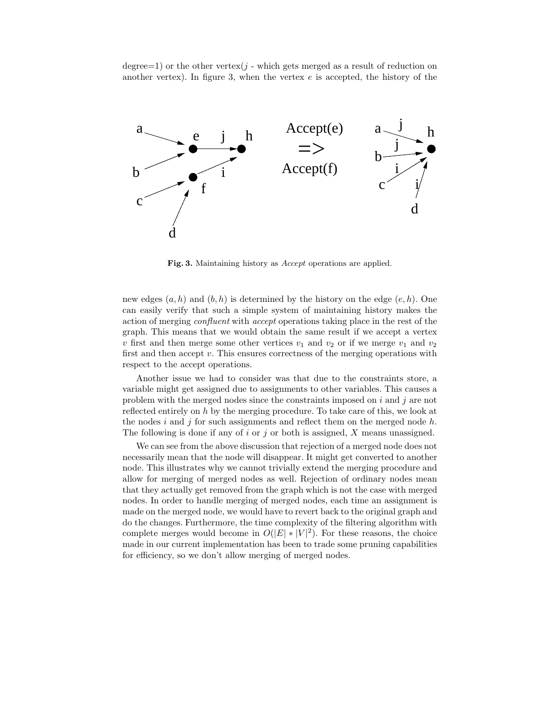degree=1) or the other vertex( $j$  - which gets merged as a result of reduction on another vertex). In figure 3, when the vertex *e* is accepted, the history of the



**Fig. 3.** Maintaining history as *Accept* operations are applied.

new edges (*a, h*) and (*b, h*) is determined by the history on the edge (*e, h*). One can easily verify that such a simple system of maintaining history makes the action of merging *confluent* with *accept* operations taking place in the rest of the graph. This means that we would obtain the same result if we accept a vertex *v* first and then merge some other vertices  $v_1$  and  $v_2$  or if we merge  $v_1$  and  $v_2$ first and then accept *v*. This ensures correctness of the merging operations with respect to the accept operations.

Another issue we had to consider was that due to the constraints store, a variable might get assigned due to assignments to other variables. This causes a problem with the merged nodes since the constraints imposed on *i* and *j* are not reflected entirely on *h* by the merging procedure. To take care of this, we look at the nodes  $i$  and  $j$  for such assignments and reflect them on the merged node  $h$ . The following is done if any of *i* or *j* or both is assigned, *X* means unassigned.

We can see from the above discussion that rejection of a merged node does not necessarily mean that the node will disappear. It might get converted to another node. This illustrates why we cannot trivially extend the merging procedure and allow for merging of merged nodes as well. Rejection of ordinary nodes mean that they actually get removed from the graph which is not the case with merged nodes. In order to handle merging of merged nodes, each time an assignment is made on the merged node, we would have to revert back to the original graph and do the changes. Furthermore, the time complexity of the filtering algorithm with complete merges would become in  $O(|E| * |V|^2)$ . For these reasons, the choice made in our current implementation has been to trade some pruning capabilities for efficiency, so we don't allow merging of merged nodes.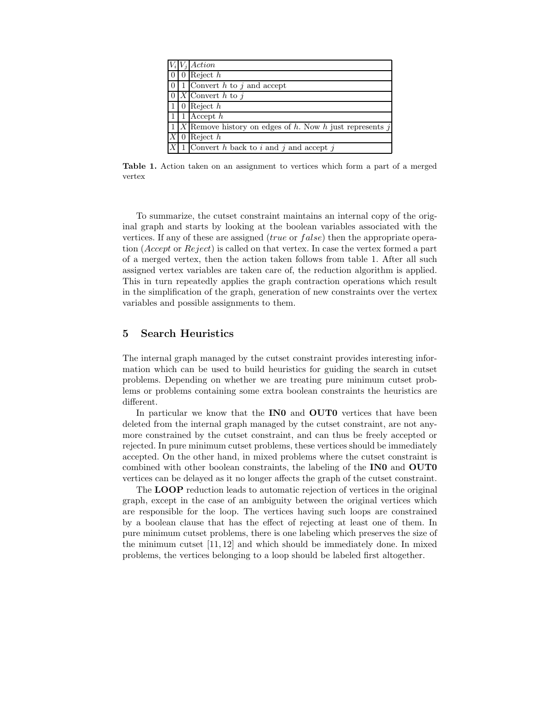|  | $V_i V_j $ Action                                            |
|--|--------------------------------------------------------------|
|  | $0 \vert 0 \vert$ Reject $h$                                 |
|  | 0 1 Convert $h$ to j and accept                              |
|  | 0 $X$ Convert h to i                                         |
|  | $1 \mid 0$ Reject h                                          |
|  | 1   1   $Accept h$                                           |
|  | $1 X $ Remove history on edges of h. Now h just represents j |
|  | 0 Reject $h$                                                 |
|  | $X \mid 1$ Convert h back to i and j and accept j            |

**Table 1.** Action taken on an assignment to vertices which form a part of a merged vertex

To summarize, the cutset constraint maintains an internal copy of the original graph and starts by looking at the boolean variables associated with the vertices. If any of these are assigned (*true* or *f alse*) then the appropriate operation (*Accept* or *Reject*) is called on that vertex. In case the vertex formed a part of a merged vertex, then the action taken follows from table 1. After all such assigned vertex variables are taken care of, the reduction algorithm is applied. This in turn repeatedly applies the graph contraction operations which result in the simplification of the graph, generation of new constraints over the vertex variables and possible assignments to them.

## **5 Search Heuristics**

The internal graph managed by the cutset constraint provides interesting information which can be used to build heuristics for guiding the search in cutset problems. Depending on whether we are treating pure minimum cutset problems or problems containing some extra boolean constraints the heuristics are different.

In particular we know that the **IN0** and **OUT0** vertices that have been deleted from the internal graph managed by the cutset constraint, are not anymore constrained by the cutset constraint, and can thus be freely accepted or rejected. In pure minimum cutset problems, these vertices should be immediately accepted. On the other hand, in mixed problems where the cutset constraint is combined with other boolean constraints, the labeling of the **IN0** and **OUT0** vertices can be delayed as it no longer affects the graph of the cutset constraint.

The **LOOP** reduction leads to automatic rejection of vertices in the original graph, except in the case of an ambiguity between the original vertices which are responsible for the loop. The vertices having such loops are constrained by a boolean clause that has the effect of rejecting at least one of them. In pure minimum cutset problems, there is one labeling which preserves the size of the minimum cutset [11, 12] and which should be immediately done. In mixed problems, the vertices belonging to a loop should be labeled first altogether.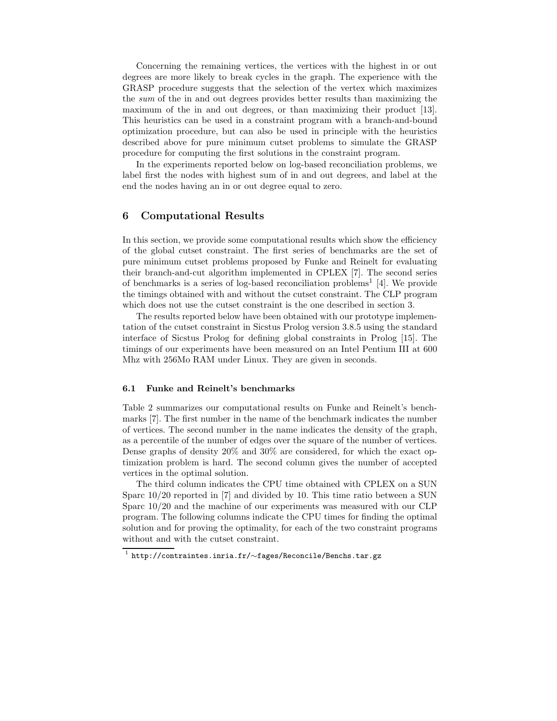Concerning the remaining vertices, the vertices with the highest in or out degrees are more likely to break cycles in the graph. The experience with the GRASP procedure suggests that the selection of the vertex which maximizes the *sum* of the in and out degrees provides better results than maximizing the maximum of the in and out degrees, or than maximizing their product [13]. This heuristics can be used in a constraint program with a branch-and-bound optimization procedure, but can also be used in principle with the heuristics described above for pure minimum cutset problems to simulate the GRASP procedure for computing the first solutions in the constraint program.

In the experiments reported below on log-based reconciliation problems, we label first the nodes with highest sum of in and out degrees, and label at the end the nodes having an in or out degree equal to zero.

## **6 Computational Results**

In this section, we provide some computational results which show the efficiency of the global cutset constraint. The first series of benchmarks are the set of pure minimum cutset problems proposed by Funke and Reinelt for evaluating their branch-and-cut algorithm implemented in CPLEX [7]. The second series of benchmarks is a series of log-based reconciliation problems<sup>1</sup> [4]. We provide the timings obtained with and without the cutset constraint. The CLP program which does not use the cutset constraint is the one described in section 3.

The results reported below have been obtained with our prototype implementation of the cutset constraint in Sicstus Prolog version 3.8.5 using the standard interface of Sicstus Prolog for defining global constraints in Prolog [15]. The timings of our experiments have been measured on an Intel Pentium III at 600 Mhz with 256Mo RAM under Linux. They are given in seconds.

#### **6.1 Funke and Reinelt's benchmarks**

Table 2 summarizes our computational results on Funke and Reinelt's benchmarks [7]. The first number in the name of the benchmark indicates the number of vertices. The second number in the name indicates the density of the graph, as a percentile of the number of edges over the square of the number of vertices. Dense graphs of density 20% and 30% are considered, for which the exact optimization problem is hard. The second column gives the number of accepted vertices in the optimal solution.

The third column indicates the CPU time obtained with CPLEX on a SUN Sparc 10/20 reported in [7] and divided by 10. This time ratio between a SUN Sparc 10/20 and the machine of our experiments was measured with our CLP program. The following columns indicate the CPU times for finding the optimal solution and for proving the optimality, for each of the two constraint programs without and with the cutset constraint.

<sup>1</sup> http://contraintes.inria.fr/∼fages/Reconcile/Benchs.tar.gz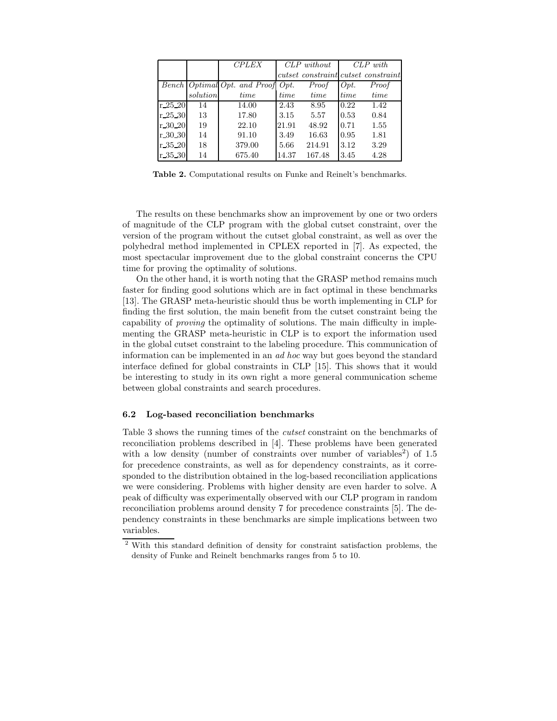|                 |          | <b>CPLEX</b>                        | $CLP$ without |                                     | $CLP$ with  |             |
|-----------------|----------|-------------------------------------|---------------|-------------------------------------|-------------|-------------|
|                 |          |                                     |               | cutset constraint cutset constraint |             |             |
|                 |          | Bench   Optimal Opt. and Proof Opt. |               | Proof                               | Opt.        | Proof       |
|                 | solution | time                                | <i>time</i>   | <i>time</i>                         | <i>time</i> | <i>time</i> |
| $r_{.25-20}$    | 14       | 14.00                               | 2.43          | 8.95                                | 0.22        | 1.42        |
| $r_{-25-30}$    | 13       | 17.80                               | 3.15          | 5.57                                | 0.53        | 0.84        |
| $r_{.}30_{.}20$ | 19       | 22.10                               | 21.91         | 48.92                               | 0.71        | 1.55        |
| $r_{.}30_{.}30$ | 14       | 91.10                               | 3.49          | 16.63                               | 0.95        | 1.81        |
| $r$ 35.20       | 18       | 379.00                              | 5.66          | 214.91                              | 3.12        | 3.29        |
| $r$ 35 30       | 14       | 675.40                              | 14.37         | 167.48                              | 3.45        | 4.28        |

**Table 2.** Computational results on Funke and Reinelt's benchmarks.

The results on these benchmarks show an improvement by one or two orders of magnitude of the CLP program with the global cutset constraint, over the version of the program without the cutset global constraint, as well as over the polyhedral method implemented in CPLEX reported in [7]. As expected, the most spectacular improvement due to the global constraint concerns the CPU time for proving the optimality of solutions.

On the other hand, it is worth noting that the GRASP method remains much faster for finding good solutions which are in fact optimal in these benchmarks [13]. The GRASP meta-heuristic should thus be worth implementing in CLP for finding the first solution, the main benefit from the cutset constraint being the capability of *proving* the optimality of solutions. The main difficulty in implementing the GRASP meta-heuristic in CLP is to export the information used in the global cutset constraint to the labeling procedure. This communication of information can be implemented in an *ad hoc* way but goes beyond the standard interface defined for global constraints in CLP [15]. This shows that it would be interesting to study in its own right a more general communication scheme between global constraints and search procedures.

#### **6.2 Log-based reconciliation benchmarks**

Table 3 shows the running times of the *cutset* constraint on the benchmarks of reconciliation problems described in [4]. These problems have been generated with a low density (number of constraints over number of variables<sup>2</sup>) of  $1.5$ for precedence constraints, as well as for dependency constraints, as it corresponded to the distribution obtained in the log-based reconciliation applications we were considering. Problems with higher density are even harder to solve. A peak of difficulty was experimentally observed with our CLP program in random reconciliation problems around density 7 for precedence constraints [5]. The dependency constraints in these benchmarks are simple implications between two variables.

<sup>2</sup> With this standard definition of density for constraint satisfaction problems, the density of Funke and Reinelt benchmarks ranges from 5 to 10.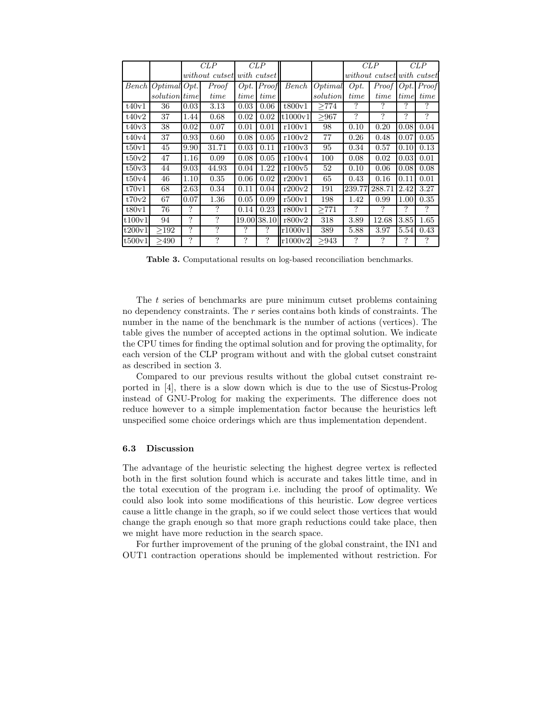|        |               | CLP  |       | CLP                               |              |         |             | CLP                        |                      | CLP  |      |
|--------|---------------|------|-------|-----------------------------------|--------------|---------|-------------|----------------------------|----------------------|------|------|
|        |               |      |       | <i>without cutset with cutset</i> |              |         |             | without cutset with cutset |                      |      |      |
| Bench  | Optimal Opt.  |      | Proof |                                   | $Opt.$ Proof | Bench   | Optimal     | Opt.                       | Proof   Opt.   Proof |      |      |
|        | solution time |      | time  | time                              | time         |         | solution    | time                       | time                 | time | time |
| t40v1  | 36            | 0.03 | 3.13  | 0.03                              | 0.06         | t800v1  | >774        | ?                          | ?                    | ?    | ?    |
| t40v2  | 37            | 1.44 | 0.68  | 0.02                              | 0.02         | t1000v1 | > 967       | ?                          | ?                    | ?    | ?    |
| t40v3  | 38            | 0.02 | 0.07  | 0.01                              | 0.01         | r100v1  | 98          | 0.10                       | 0.20                 | 0.08 | 0.04 |
| t40v4  | 37            | 0.93 | 0.60  | 0.08                              | 0.05         | r100v2  | 77          | 0.26                       | 0.48                 | 0.07 | 0.05 |
| t50v1  | 45            | 9.90 | 31.71 | 0.03                              | 0.11         | r100v3  | 95          | 0.34                       | 0.57                 | 0.10 | 0.13 |
| t50v2  | 47            | 1.16 | 0.09  | 0.08                              | 0.05         | r100v4  | 100         | 0.08                       | 0.02                 | 0.03 | 0.01 |
| t50v3  | 44            | 9.03 | 44.93 | 0.04                              | 1.22         | r100v5  | 52          | 0.10                       | 0.06                 | 0.08 | 0.08 |
| t50v4  | 46            | 1.10 | 0.35  | 0.06                              | 0.02         | r200v1  | 65          | 0.43                       | 0.16                 | 0.11 | 0.01 |
| t70v1  | 68            | 2.63 | 0.34  | 0.11                              | 0.04         | r200v2  | 191         | 239.77                     | 288.71               | 2.42 | 3.27 |
| t70v2  | 67            | 0.07 | 1.36  | 0.05                              | 0.09         | r500v1  | 198         | 1.42                       | 0.99                 | 1.00 | 0.35 |
| t80v1  | 76            | ?    | ?     | 0.14                              | 0.23         | r800v1  | >771        | ?                          | ?                    | ?    | ?    |
| t100v1 | 94            | ?    | ?     |                                   | 19.00 38.10  | r800v2  | 318         | 3.89                       | 12.68                | 3.85 | 1.65 |
| t200v1 | >192          | ?    | ?     | ?                                 | ?            | r1000v1 | 389         | 5.88                       | 3.97                 | 5.54 | 0.43 |
| t500v1 | >490          | ?    | ?     | ?                                 | ?            | r1000v2 | $> \!\!943$ | ?                          | ?                    | ?    | ?    |

**Table 3.** Computational results on log-based reconciliation benchmarks.

The *t* series of benchmarks are pure minimum cutset problems containing no dependency constraints. The *r* series contains both kinds of constraints. The number in the name of the benchmark is the number of actions (vertices). The table gives the number of accepted actions in the optimal solution. We indicate the CPU times for finding the optimal solution and for proving the optimality, for each version of the CLP program without and with the global cutset constraint as described in section 3.

Compared to our previous results without the global cutset constraint reported in [4], there is a slow down which is due to the use of Sicstus-Prolog instead of GNU-Prolog for making the experiments. The difference does not reduce however to a simple implementation factor because the heuristics left unspecified some choice orderings which are thus implementation dependent.

#### **6.3 Discussion**

The advantage of the heuristic selecting the highest degree vertex is reflected both in the first solution found which is accurate and takes little time, and in the total execution of the program i.e. including the proof of optimality. We could also look into some modifications of this heuristic. Low degree vertices cause a little change in the graph, so if we could select those vertices that would change the graph enough so that more graph reductions could take place, then we might have more reduction in the search space.

For further improvement of the pruning of the global constraint, the IN1 and OUT1 contraction operations should be implemented without restriction. For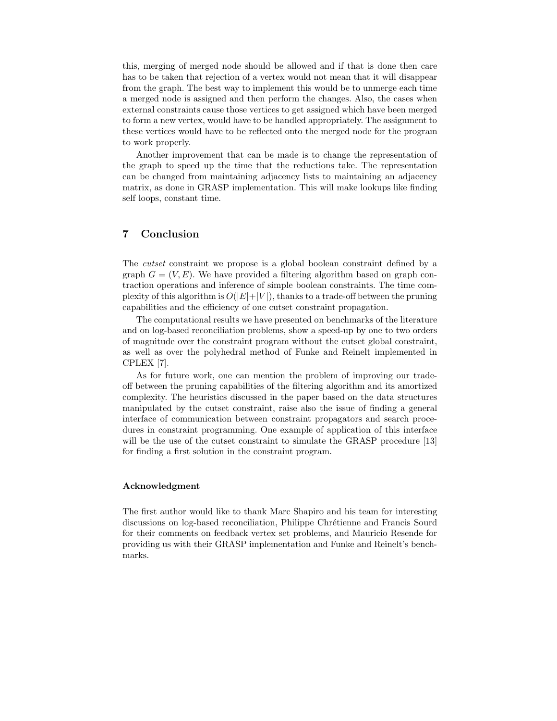this, merging of merged node should be allowed and if that is done then care has to be taken that rejection of a vertex would not mean that it will disappear from the graph. The best way to implement this would be to unmerge each time a merged node is assigned and then perform the changes. Also, the cases when external constraints cause those vertices to get assigned which have been merged to form a new vertex, would have to be handled appropriately. The assignment to these vertices would have to be reflected onto the merged node for the program to work properly.

Another improvement that can be made is to change the representation of the graph to speed up the time that the reductions take. The representation can be changed from maintaining adjacency lists to maintaining an adjacency matrix, as done in GRASP implementation. This will make lookups like finding self loops, constant time.

## **7 Conclusion**

The *cutset* constraint we propose is a global boolean constraint defined by a graph  $G = (V, E)$ . We have provided a filtering algorithm based on graph contraction operations and inference of simple boolean constraints. The time complexity of this algorithm is  $O(|E|+|V|)$ , thanks to a trade-off between the pruning capabilities and the efficiency of one cutset constraint propagation.

The computational results we have presented on benchmarks of the literature and on log-based reconciliation problems, show a speed-up by one to two orders of magnitude over the constraint program without the cutset global constraint, as well as over the polyhedral method of Funke and Reinelt implemented in CPLEX [7].

As for future work, one can mention the problem of improving our tradeoff between the pruning capabilities of the filtering algorithm and its amortized complexity. The heuristics discussed in the paper based on the data structures manipulated by the cutset constraint, raise also the issue of finding a general interface of communication between constraint propagators and search procedures in constraint programming. One example of application of this interface will be the use of the cutset constraint to simulate the GRASP procedure [13] for finding a first solution in the constraint program.

#### **Acknowledgment**

The first author would like to thank Marc Shapiro and his team for interesting discussions on log-based reconciliation, Philippe Chrétienne and Francis Sourd for their comments on feedback vertex set problems, and Mauricio Resende for providing us with their GRASP implementation and Funke and Reinelt's benchmarks.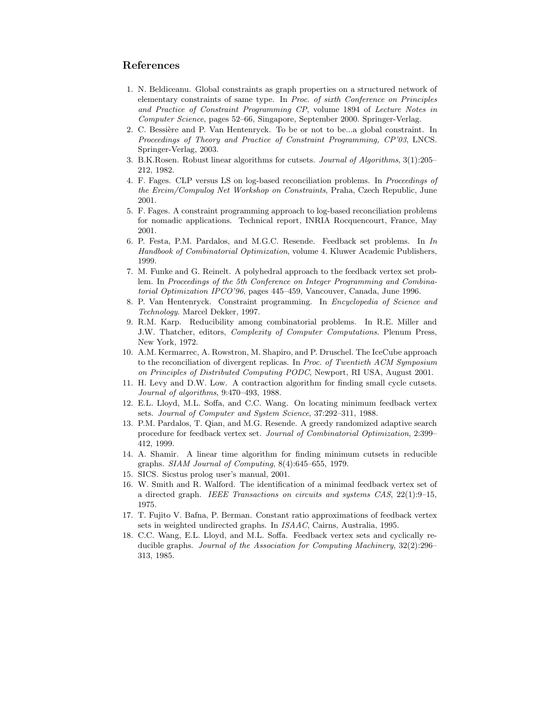## **References**

- 1. N. Beldiceanu. Global constraints as graph properties on a structured network of elementary constraints of same type. In *Proc. of sixth Conference on Principles and Practice of Constraint Programming CP*, volume 1894 of *Lecture Notes in Computer Science*, pages 52–66, Singapore, September 2000. Springer-Verlag.
- 2. C. Bessière and P. Van Hentenryck. To be or not to be...a global constraint. In *Proceedings of Theory and Practice of Constraint Programming, CP'03*, LNCS. Springer-Verlag, 2003.
- 3. B.K.Rosen. Robust linear algorithms for cutsets. *Journal of Algorithms*, 3(1):205– 212, 1982.
- 4. F. Fages. CLP versus LS on log-based reconciliation problems. In *Proceedings of the Ercim/Compulog Net Workshop on Constraints*, Praha, Czech Republic, June 2001.
- 5. F. Fages. A constraint programming approach to log-based reconciliation problems for nomadic applications. Technical report, INRIA Rocquencourt, France, May 2001.
- 6. P. Festa, P.M. Pardalos, and M.G.C. Resende. Feedback set problems. In *In Handbook of Combinatorial Optimization*, volume 4. Kluwer Academic Publishers, 1999.
- 7. M. Funke and G. Reinelt. A polyhedral approach to the feedback vertex set problem. In *Proceedings of the 5th Conference on Integer Programming and Combinatorial Optimization IPCO'96*, pages 445–459, Vancouver, Canada, June 1996.
- 8. P. Van Hentenryck. Constraint programming. In *Encyclopedia of Science and Technology*. Marcel Dekker, 1997.
- 9. R.M. Karp. Reducibility among combinatorial problems. In R.E. Miller and J.W. Thatcher, editors, *Complexity of Computer Computations*. Plenum Press, New York, 1972.
- 10. A.M. Kermarrec, A. Rowstron, M. Shapiro, and P. Druschel. The IceCube approach to the reconciliation of divergent replicas. In *Proc. of Twentieth ACM Symposium on Principles of Distributed Computing PODC*, Newport, RI USA, August 2001.
- 11. H. Levy and D.W. Low. A contraction algorithm for finding small cycle cutsets. *Journal of algorithms*, 9:470–493, 1988.
- 12. E.L. Lloyd, M.L. Soffa, and C.C. Wang. On locating minimum feedback vertex sets. *Journal of Computer and System Science*, 37:292–311, 1988.
- 13. P.M. Pardalos, T. Qian, and M.G. Resende. A greedy randomized adaptive search procedure for feedback vertex set. *Journal of Combinatorial Optimization*, 2:399– 412, 1999.
- 14. A. Shamir. A linear time algorithm for finding minimum cutsets in reducible graphs. *SIAM Journal of Computing*, 8(4):645–655, 1979.
- 15. SICS. Sicstus prolog user's manual, 2001.
- 16. W. Smith and R. Walford. The identification of a minimal feedback vertex set of a directed graph. *IEEE Transactions on circuits and systems CAS*, 22(1):9–15, 1975.
- 17. T. Fujito V. Bafna, P. Berman. Constant ratio approximations of feedback vertex sets in weighted undirected graphs. In *ISAAC*, Cairns, Australia, 1995.
- 18. C.C. Wang, E.L. Lloyd, and M.L. Soffa. Feedback vertex sets and cyclically reducible graphs. *Journal of the Association for Computing Machinery*, 32(2):296– 313, 1985.